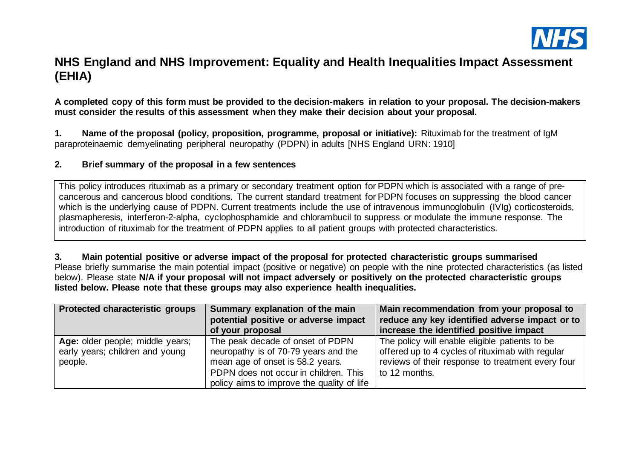

## **NHS England and NHS Improvement: Equality and Health Inequalities Impact Assessment (EHIA)**

**A completed copy of this form must be provided to the decision-makers in relation to your proposal. The decision-makers must consider the results of this assessment when they make their decision about your proposal.**

**1. Name of the proposal (policy, proposition, programme, proposal or initiative):** Rituximab for the treatment of IgM paraproteinaemic demyelinating peripheral neuropathy (PDPN) in adults [NHS England URN: 1910]

#### **2. Brief summary of the proposal in a few sentences**

This policy introduces rituximab as a primary or secondary treatment option for PDPN which is associated with a range of precancerous and cancerous blood conditions. The current standard treatment for PDPN focuses on suppressing the blood cancer which is the underlying cause of PDPN. Current treatments include the use of intravenous immunoglobulin (IVIg) corticosteroids, plasmapheresis, interferon-2-alpha, cyclophosphamide and chlorambucil to suppress or modulate the immune response. The introduction of rituximab for the treatment of PDPN applies to all patient groups with protected characteristics.

**3. Main potential positive or adverse impact of the proposal for protected characteristic groups summarised** Please briefly summarise the main potential impact (positive or negative) on people with the nine protected characteristics (as listed below). Please state **N/A if your proposal will not impact adversely or positively on the protected characteristic groups listed below. Please note that these groups may also experience health inequalities.**

| Protected characteristic groups  | Summary explanation of the main            | Main recommendation from your proposal to         |  |
|----------------------------------|--------------------------------------------|---------------------------------------------------|--|
|                                  | potential positive or adverse impact       | reduce any key identified adverse impact or to    |  |
|                                  | of your proposal                           | increase the identified positive impact           |  |
| Age: older people; middle years; | The peak decade of onset of PDPN           | The policy will enable eligible patients to be    |  |
| early years; children and young  | neuropathy is of 70-79 years and the       | offered up to 4 cycles of rituximab with regular  |  |
| people.                          | mean age of onset is 58.2 years.           | reviews of their response to treatment every four |  |
|                                  | PDPN does not occur in children. This      | to 12 months.                                     |  |
|                                  | policy aims to improve the quality of life |                                                   |  |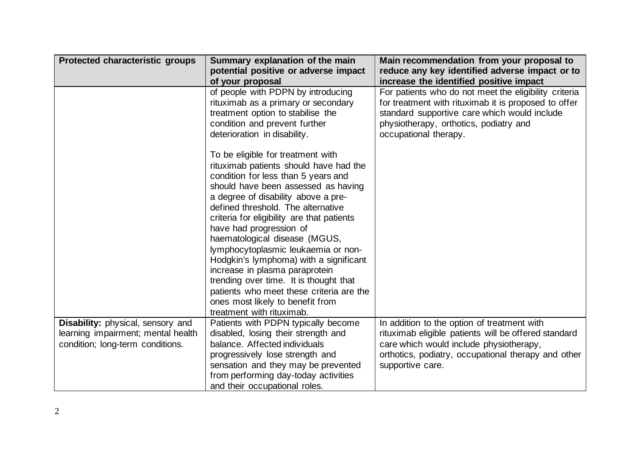| Protected characteristic groups    | Summary explanation of the main<br>potential positive or adverse impact                                                                                                                                                                                                                                                                                                                                                                                                                                                                                                                                                    | Main recommendation from your proposal to<br>reduce any key identified adverse impact or to                                                                                                                                      |
|------------------------------------|----------------------------------------------------------------------------------------------------------------------------------------------------------------------------------------------------------------------------------------------------------------------------------------------------------------------------------------------------------------------------------------------------------------------------------------------------------------------------------------------------------------------------------------------------------------------------------------------------------------------------|----------------------------------------------------------------------------------------------------------------------------------------------------------------------------------------------------------------------------------|
|                                    | of your proposal                                                                                                                                                                                                                                                                                                                                                                                                                                                                                                                                                                                                           | increase the identified positive impact                                                                                                                                                                                          |
|                                    | of people with PDPN by introducing<br>rituximab as a primary or secondary<br>treatment option to stabilise the<br>condition and prevent further<br>deterioration in disability.                                                                                                                                                                                                                                                                                                                                                                                                                                            | For patients who do not meet the eligibility criteria<br>for treatment with rituximab it is proposed to offer<br>standard supportive care which would include<br>physiotherapy, orthotics, podiatry and<br>occupational therapy. |
|                                    | To be eligible for treatment with<br>rituximab patients should have had the<br>condition for less than 5 years and<br>should have been assessed as having<br>a degree of disability above a pre-<br>defined threshold. The alternative<br>criteria for eligibility are that patients<br>have had progression of<br>haematological disease (MGUS,<br>lymphocytoplasmic leukaemia or non-<br>Hodgkin's lymphoma) with a significant<br>increase in plasma paraprotein<br>trending over time. It is thought that<br>patients who meet these criteria are the<br>ones most likely to benefit from<br>treatment with rituximab. |                                                                                                                                                                                                                                  |
| Disability: physical, sensory and  | Patients with PDPN typically become                                                                                                                                                                                                                                                                                                                                                                                                                                                                                                                                                                                        | In addition to the option of treatment with                                                                                                                                                                                      |
| learning impairment; mental health | disabled, losing their strength and                                                                                                                                                                                                                                                                                                                                                                                                                                                                                                                                                                                        | rituximab eligible patients will be offered standard                                                                                                                                                                             |
| condition; long-term conditions.   | balance. Affected individuals                                                                                                                                                                                                                                                                                                                                                                                                                                                                                                                                                                                              | care which would include physiotherapy,                                                                                                                                                                                          |
|                                    | progressively lose strength and                                                                                                                                                                                                                                                                                                                                                                                                                                                                                                                                                                                            | orthotics, podiatry, occupational therapy and other                                                                                                                                                                              |
|                                    | sensation and they may be prevented                                                                                                                                                                                                                                                                                                                                                                                                                                                                                                                                                                                        | supportive care.                                                                                                                                                                                                                 |
|                                    | from performing day-today activities                                                                                                                                                                                                                                                                                                                                                                                                                                                                                                                                                                                       |                                                                                                                                                                                                                                  |
|                                    | and their occupational roles.                                                                                                                                                                                                                                                                                                                                                                                                                                                                                                                                                                                              |                                                                                                                                                                                                                                  |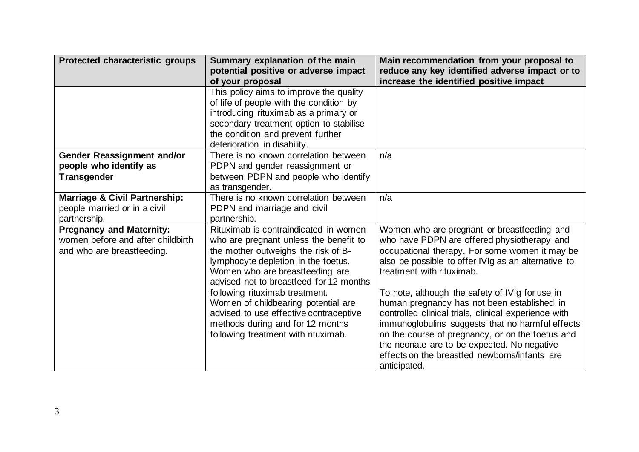| Protected characteristic groups                                                                    | Summary explanation of the main                                                                                                                                                                                                             | Main recommendation from your proposal to                                                                                                                                                                                                                                                                                                                                      |
|----------------------------------------------------------------------------------------------------|---------------------------------------------------------------------------------------------------------------------------------------------------------------------------------------------------------------------------------------------|--------------------------------------------------------------------------------------------------------------------------------------------------------------------------------------------------------------------------------------------------------------------------------------------------------------------------------------------------------------------------------|
|                                                                                                    | potential positive or adverse impact<br>of your proposal                                                                                                                                                                                    | reduce any key identified adverse impact or to<br>increase the identified positive impact                                                                                                                                                                                                                                                                                      |
|                                                                                                    | This policy aims to improve the quality<br>of life of people with the condition by<br>introducing rituximab as a primary or<br>secondary treatment option to stabilise<br>the condition and prevent further                                 |                                                                                                                                                                                                                                                                                                                                                                                |
| <b>Gender Reassignment and/or</b><br>people who identify as<br><b>Transgender</b>                  | deterioration in disability.<br>There is no known correlation between<br>PDPN and gender reassignment or<br>between PDPN and people who identify<br>as transgender.                                                                         | n/a                                                                                                                                                                                                                                                                                                                                                                            |
| <b>Marriage &amp; Civil Partnership:</b><br>people married or in a civil<br>partnership.           | There is no known correlation between<br>PDPN and marriage and civil<br>partnership.                                                                                                                                                        | n/a                                                                                                                                                                                                                                                                                                                                                                            |
| <b>Pregnancy and Maternity:</b><br>women before and after childbirth<br>and who are breastfeeding. | Rituximab is contraindicated in women<br>who are pregnant unless the benefit to<br>the mother outweighs the risk of B-<br>lymphocyte depletion in the foetus.<br>Women who are breastfeeding are<br>advised not to breastfeed for 12 months | Women who are pregnant or breastfeeding and<br>who have PDPN are offered physiotherapy and<br>occupational therapy. For some women it may be<br>also be possible to offer IVIg as an alternative to<br>treatment with rituximab.                                                                                                                                               |
|                                                                                                    | following rituximab treatment.<br>Women of childbearing potential are<br>advised to use effective contraceptive<br>methods during and for 12 months<br>following treatment with rituximab.                                                  | To note, although the safety of IVIg for use in<br>human pregnancy has not been established in<br>controlled clinical trials, clinical experience with<br>immunoglobulins suggests that no harmful effects<br>on the course of pregnancy, or on the foetus and<br>the neonate are to be expected. No negative<br>effects on the breastfed newborns/infants are<br>anticipated. |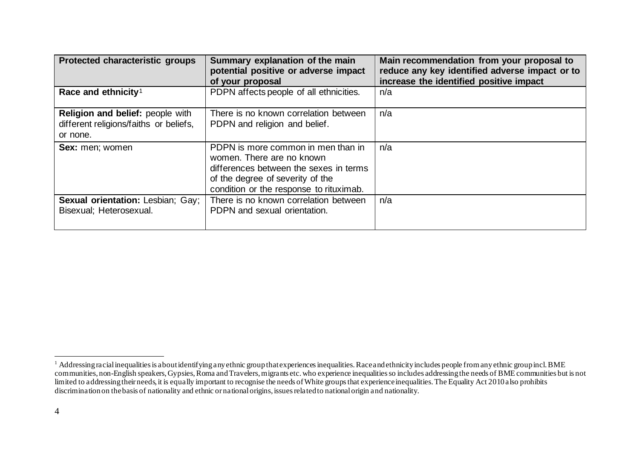<span id="page-3-0"></span>

| Protected characteristic groups                                                        | Summary explanation of the main<br>potential positive or adverse impact<br>of your proposal                                                                                              | Main recommendation from your proposal to<br>reduce any key identified adverse impact or to<br>increase the identified positive impact |
|----------------------------------------------------------------------------------------|------------------------------------------------------------------------------------------------------------------------------------------------------------------------------------------|----------------------------------------------------------------------------------------------------------------------------------------|
| Race and ethnicity <sup>1</sup>                                                        | PDPN affects people of all ethnicities.                                                                                                                                                  | n/a                                                                                                                                    |
| Religion and belief: people with<br>different religions/faiths or beliefs,<br>or none. | There is no known correlation between<br>PDPN and religion and belief.                                                                                                                   | n/a                                                                                                                                    |
| <b>Sex:</b> men; women                                                                 | PDPN is more common in men than in<br>women. There are no known<br>differences between the sexes in terms<br>of the degree of severity of the<br>condition or the response to rituximab. | n/a                                                                                                                                    |
| Sexual orientation: Lesbian; Gay;<br>Bisexual; Heterosexual.                           | There is no known correlation between<br>PDPN and sexual orientation.                                                                                                                    | n/a                                                                                                                                    |

 $^1$  Addressing racial inequalities is about identifying any ethnic group that experiences inequalities. Race and ethnicity includes people from any ethnic group incl. BME communities, non-English speakers, Gypsies,Roma and Travelers, migrants etc. who experience inequalitiesso includes addressing the needs of BME communities but is not limited to addressing their needs, it is equally important to recognise the needs of White groups that experience inequalities. The Equality Act 2010 also prohibits discrimination on the basis of nationality and ethnic or national origins, issues related to national origin and nationality.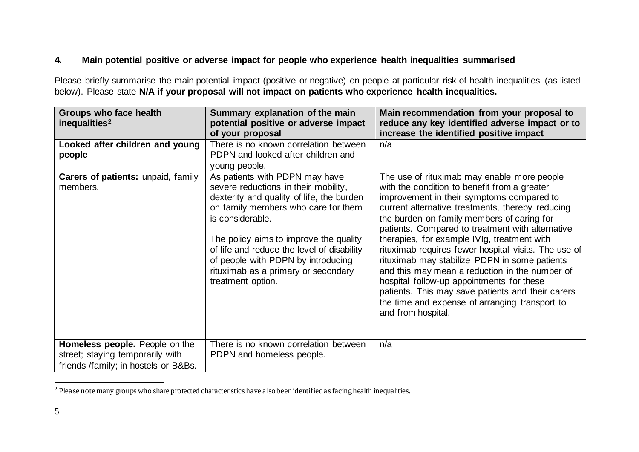## <span id="page-4-0"></span>**4. Main potential positive or adverse impact for people who experience health inequalities summarised**

Please briefly summarise the main potential impact (positive or negative) on people at particular risk of health inequalities (as listed below). Please state **N/A if your proposal will not impact on patients who experience health inequalities.** 

| Groups who face health<br>inequalities <sup>2</sup>                                                        | Summary explanation of the main<br>potential positive or adverse impact<br>of your proposal                                                                                                                                                                                                                                                                              | Main recommendation from your proposal to<br>reduce any key identified adverse impact or to<br>increase the identified positive impact                                                                                                                                                                                                                                                                                                                                                                                                                                                                                                                                             |
|------------------------------------------------------------------------------------------------------------|--------------------------------------------------------------------------------------------------------------------------------------------------------------------------------------------------------------------------------------------------------------------------------------------------------------------------------------------------------------------------|------------------------------------------------------------------------------------------------------------------------------------------------------------------------------------------------------------------------------------------------------------------------------------------------------------------------------------------------------------------------------------------------------------------------------------------------------------------------------------------------------------------------------------------------------------------------------------------------------------------------------------------------------------------------------------|
| Looked after children and young<br>people                                                                  | There is no known correlation between<br>PDPN and looked after children and<br>young people.                                                                                                                                                                                                                                                                             | n/a                                                                                                                                                                                                                                                                                                                                                                                                                                                                                                                                                                                                                                                                                |
| Carers of patients: unpaid, family<br>members.                                                             | As patients with PDPN may have<br>severe reductions in their mobility,<br>dexterity and quality of life, the burden<br>on family members who care for them<br>is considerable.<br>The policy aims to improve the quality<br>of life and reduce the level of disability<br>of people with PDPN by introducing<br>rituximab as a primary or secondary<br>treatment option. | The use of rituximab may enable more people<br>with the condition to benefit from a greater<br>improvement in their symptoms compared to<br>current alternative treatments, thereby reducing<br>the burden on family members of caring for<br>patients. Compared to treatment with alternative<br>therapies, for example IVIg, treatment with<br>rituximab requires fewer hospital visits. The use of<br>rituximab may stabilize PDPN in some patients<br>and this may mean a reduction in the number of<br>hospital follow-up appointments for these<br>patients. This may save patients and their carers<br>the time and expense of arranging transport to<br>and from hospital. |
| Homeless people. People on the<br>street; staying temporarily with<br>friends /family; in hostels or B&Bs. | There is no known correlation between<br>PDPN and homeless people.                                                                                                                                                                                                                                                                                                       | n/a                                                                                                                                                                                                                                                                                                                                                                                                                                                                                                                                                                                                                                                                                |

<sup>&</sup>lt;sup>2</sup> Please note many groups who share protected characteristics have also been identified as facing health inequalities.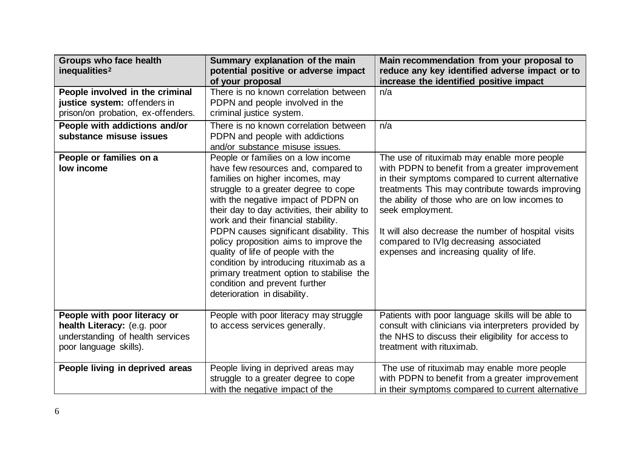| <b>Groups who face health</b><br>inequalities <sup>2</sup>                                                                | Summary explanation of the main<br>potential positive or adverse impact                                                                                                                                                                                                                                                                                                                                                                                                                                                                                                  | Main recommendation from your proposal to<br>reduce any key identified adverse impact or to                                                                                                                                                                                                                                                                                                                                |
|---------------------------------------------------------------------------------------------------------------------------|--------------------------------------------------------------------------------------------------------------------------------------------------------------------------------------------------------------------------------------------------------------------------------------------------------------------------------------------------------------------------------------------------------------------------------------------------------------------------------------------------------------------------------------------------------------------------|----------------------------------------------------------------------------------------------------------------------------------------------------------------------------------------------------------------------------------------------------------------------------------------------------------------------------------------------------------------------------------------------------------------------------|
| People involved in the criminal<br>justice system: offenders in<br>prison/on probation, ex-offenders.                     | of your proposal<br>There is no known correlation between<br>PDPN and people involved in the<br>criminal justice system.                                                                                                                                                                                                                                                                                                                                                                                                                                                 | increase the identified positive impact<br>n/a                                                                                                                                                                                                                                                                                                                                                                             |
| People with addictions and/or<br>substance misuse issues                                                                  | There is no known correlation between<br>PDPN and people with addictions<br>and/or substance misuse issues.                                                                                                                                                                                                                                                                                                                                                                                                                                                              | n/a                                                                                                                                                                                                                                                                                                                                                                                                                        |
| People or families on a<br>low income                                                                                     | People or families on a low income<br>have few resources and, compared to<br>families on higher incomes, may<br>struggle to a greater degree to cope<br>with the negative impact of PDPN on<br>their day to day activities, their ability to<br>work and their financial stability.<br>PDPN causes significant disability. This<br>policy proposition aims to improve the<br>quality of life of people with the<br>condition by introducing rituximab as a<br>primary treatment option to stabilise the<br>condition and prevent further<br>deterioration in disability. | The use of rituximab may enable more people<br>with PDPN to benefit from a greater improvement<br>in their symptoms compared to current alternative<br>treatments This may contribute towards improving<br>the ability of those who are on low incomes to<br>seek employment.<br>It will also decrease the number of hospital visits<br>compared to IVIg decreasing associated<br>expenses and increasing quality of life. |
| People with poor literacy or<br>health Literacy: (e.g. poor<br>understanding of health services<br>poor language skills). | People with poor literacy may struggle<br>to access services generally.                                                                                                                                                                                                                                                                                                                                                                                                                                                                                                  | Patients with poor language skills will be able to<br>consult with clinicians via interpreters provided by<br>the NHS to discuss their eligibility for access to<br>treatment with rituximab.                                                                                                                                                                                                                              |
| People living in deprived areas                                                                                           | People living in deprived areas may<br>struggle to a greater degree to cope<br>with the negative impact of the                                                                                                                                                                                                                                                                                                                                                                                                                                                           | The use of rituximab may enable more people<br>with PDPN to benefit from a greater improvement<br>in their symptoms compared to current alternative                                                                                                                                                                                                                                                                        |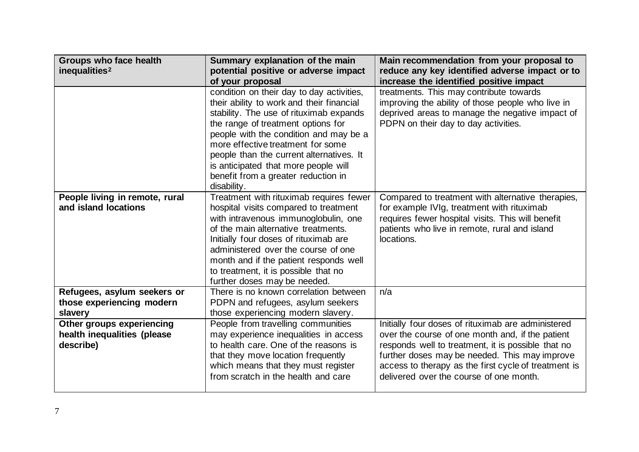| <b>Groups who face health</b><br>Summary explanation of the main<br>inequalities <sup>2</sup><br>potential positive or adverse impact |                                                                                        | Main recommendation from your proposal to<br>reduce any key identified adverse impact or to  |  |
|---------------------------------------------------------------------------------------------------------------------------------------|----------------------------------------------------------------------------------------|----------------------------------------------------------------------------------------------|--|
|                                                                                                                                       | of your proposal                                                                       | increase the identified positive impact                                                      |  |
|                                                                                                                                       | condition on their day to day activities,<br>their ability to work and their financial | treatments. This may contribute towards<br>improving the ability of those people who live in |  |
|                                                                                                                                       | stability. The use of rituximab expands                                                | deprived areas to manage the negative impact of                                              |  |
|                                                                                                                                       | the range of treatment options for                                                     | PDPN on their day to day activities.                                                         |  |
|                                                                                                                                       | people with the condition and may be a                                                 |                                                                                              |  |
|                                                                                                                                       | more effective treatment for some                                                      |                                                                                              |  |
|                                                                                                                                       | people than the current alternatives. It                                               |                                                                                              |  |
|                                                                                                                                       | is anticipated that more people will                                                   |                                                                                              |  |
|                                                                                                                                       | benefit from a greater reduction in                                                    |                                                                                              |  |
|                                                                                                                                       | disability.                                                                            |                                                                                              |  |
| People living in remote, rural                                                                                                        | Treatment with rituximab requires fewer                                                | Compared to treatment with alternative therapies,                                            |  |
| and island locations                                                                                                                  | hospital visits compared to treatment                                                  | for example IVIg, treatment with rituximab                                                   |  |
|                                                                                                                                       | with intravenous immunoglobulin, one                                                   | requires fewer hospital visits. This will benefit                                            |  |
|                                                                                                                                       | of the main alternative treatments.                                                    | patients who live in remote, rural and island                                                |  |
|                                                                                                                                       | Initially four doses of rituximab are                                                  | locations.                                                                                   |  |
|                                                                                                                                       | administered over the course of one                                                    |                                                                                              |  |
|                                                                                                                                       | month and if the patient responds well                                                 |                                                                                              |  |
|                                                                                                                                       | to treatment, it is possible that no                                                   |                                                                                              |  |
|                                                                                                                                       | further doses may be needed.                                                           |                                                                                              |  |
| Refugees, asylum seekers or                                                                                                           | There is no known correlation between                                                  | n/a                                                                                          |  |
| those experiencing modern                                                                                                             | PDPN and refugees, asylum seekers                                                      |                                                                                              |  |
| slavery                                                                                                                               | those experiencing modern slavery.                                                     |                                                                                              |  |
| Other groups experiencing                                                                                                             | People from travelling communities                                                     | Initially four doses of rituximab are administered                                           |  |
| health inequalities (please                                                                                                           | may experience inequalities in access                                                  | over the course of one month and, if the patient                                             |  |
| describe)                                                                                                                             | to health care. One of the reasons is                                                  | responds well to treatment, it is possible that no                                           |  |
|                                                                                                                                       | that they move location frequently                                                     | further doses may be needed. This may improve                                                |  |
|                                                                                                                                       | which means that they must register                                                    | access to therapy as the first cycle of treatment is                                         |  |
|                                                                                                                                       | from scratch in the health and care                                                    | delivered over the course of one month.                                                      |  |
|                                                                                                                                       |                                                                                        |                                                                                              |  |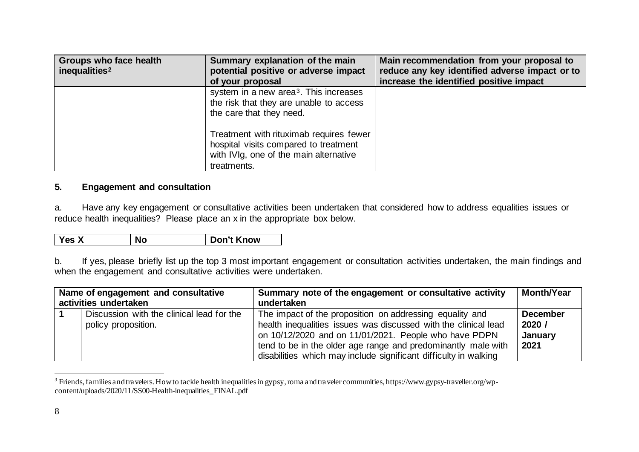<span id="page-7-0"></span>

| <b>Groups who face health</b><br>inequalities <sup>2</sup> | Summary explanation of the main<br>potential positive or adverse impact                                                                   | Main recommendation from your proposal to<br>reduce any key identified adverse impact or to |
|------------------------------------------------------------|-------------------------------------------------------------------------------------------------------------------------------------------|---------------------------------------------------------------------------------------------|
|                                                            | of your proposal                                                                                                                          | increase the identified positive impact                                                     |
|                                                            | system in a new area <sup>3</sup> . This increases<br>the risk that they are unable to access<br>the care that they need.                 |                                                                                             |
|                                                            | Treatment with rituximab requires fewer<br>hospital visits compared to treatment<br>with IVIg, one of the main alternative<br>treatments. |                                                                                             |

### **5. Engagement and consultation**

a. Have any key engagement or consultative activities been undertaken that considered how to address equalities issues or reduce health inequalities? Please place an x in the appropriate box below.

| <b>No</b><br>Yes X | Don't Know |
|--------------------|------------|
|--------------------|------------|

b. If yes, please briefly list up the top 3 most important engagement or consultation activities undertaken, the main findings and when the engagement and consultative activities were undertaken.

| Name of engagement and consultative |                                           | Summary note of the engagement or consultative activity          | <b>Month/Year</b> |
|-------------------------------------|-------------------------------------------|------------------------------------------------------------------|-------------------|
|                                     | activities undertaken                     | undertaken                                                       |                   |
|                                     | Discussion with the clinical lead for the | The impact of the proposition on addressing equality and         | <b>December</b>   |
|                                     | policy proposition.                       | health inequalities issues was discussed with the clinical lead  | 2020 /            |
|                                     |                                           | on 10/12/2020 and on 11/01/2021. People who have PDPN            | January           |
|                                     |                                           | tend to be in the older age range and predominantly male with    | 2021              |
|                                     |                                           | disabilities which may include significant difficulty in walking |                   |

<sup>&</sup>lt;sup>3</sup> Friends, families and travelers. How to tackle health inequalities in gypsy, roma and traveler communities, https://www.gypsy-traveller.org/wpcontent/uploads/2020/11/SS00-Health-inequalities\_FINAL.pdf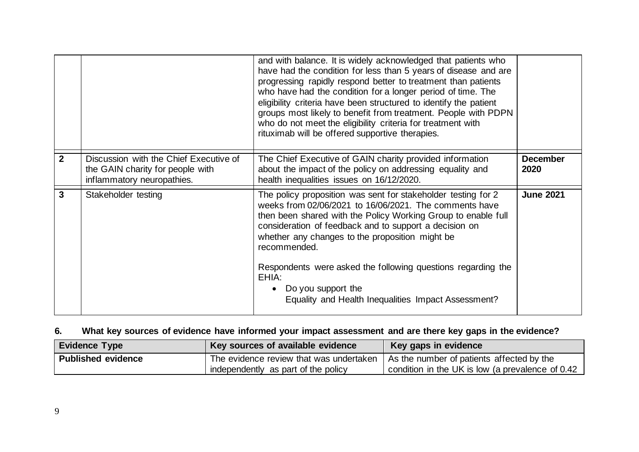|                |                                                                                                          | and with balance. It is widely acknowledged that patients who<br>have had the condition for less than 5 years of disease and are<br>progressing rapidly respond better to treatment than patients<br>who have had the condition for a longer period of time. The<br>eligibility criteria have been structured to identify the patient<br>groups most likely to benefit from treatment. People with PDPN<br>who do not meet the eligibility criteria for treatment with<br>rituximab will be offered supportive therapies. |                         |
|----------------|----------------------------------------------------------------------------------------------------------|---------------------------------------------------------------------------------------------------------------------------------------------------------------------------------------------------------------------------------------------------------------------------------------------------------------------------------------------------------------------------------------------------------------------------------------------------------------------------------------------------------------------------|-------------------------|
| $\overline{2}$ | Discussion with the Chief Executive of<br>the GAIN charity for people with<br>inflammatory neuropathies. | The Chief Executive of GAIN charity provided information<br>about the impact of the policy on addressing equality and<br>health inequalities issues on 16/12/2020.                                                                                                                                                                                                                                                                                                                                                        | <b>December</b><br>2020 |
| 3              | Stakeholder testing                                                                                      | The policy proposition was sent for stakeholder testing for 2<br>weeks from 02/06/2021 to 16/06/2021. The comments have<br>then been shared with the Policy Working Group to enable full<br>consideration of feedback and to support a decision on<br>whether any changes to the proposition might be<br>recommended.<br>Respondents were asked the following questions regarding the<br>EHIA:<br>Do you support the<br>Equality and Health Inequalities Impact Assessment?                                               | <b>June 2021</b>        |

# **6. What key sources of evidence have informed your impact assessment and are there key gaps in the evidence?**

| <b>Evidence Type</b>      | Key sources of available evidence                                                                                          | Key gaps in evidence                             |
|---------------------------|----------------------------------------------------------------------------------------------------------------------------|--------------------------------------------------|
| <b>Published evidence</b> | The evidence review that was undertaken   As the number of patients affected by the<br>independently as part of the policy | condition in the UK is low (a prevalence of 0.42 |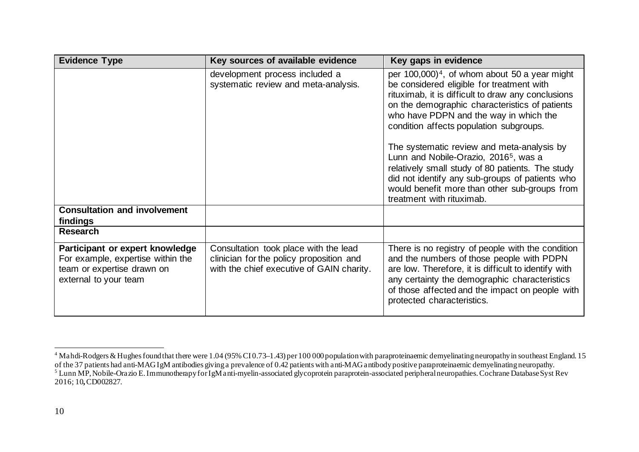<span id="page-9-1"></span><span id="page-9-0"></span>

| <b>Evidence Type</b>                                                                                                        | Key sources of available evidence                                                                                              | Key gaps in evidence                                                                                                                                                                                                                                                                                                                                                                                                                                                                                                                                                                         |
|-----------------------------------------------------------------------------------------------------------------------------|--------------------------------------------------------------------------------------------------------------------------------|----------------------------------------------------------------------------------------------------------------------------------------------------------------------------------------------------------------------------------------------------------------------------------------------------------------------------------------------------------------------------------------------------------------------------------------------------------------------------------------------------------------------------------------------------------------------------------------------|
|                                                                                                                             | development process included a<br>systematic review and meta-analysis.                                                         | per $100,000$ <sup>4</sup> , of whom about 50 a year might<br>be considered eligible for treatment with<br>rituximab, it is difficult to draw any conclusions<br>on the demographic characteristics of patients<br>who have PDPN and the way in which the<br>condition affects population subgroups.<br>The systematic review and meta-analysis by<br>Lunn and Nobile-Orazio, 2016 <sup>5</sup> , was a<br>relatively small study of 80 patients. The study<br>did not identify any sub-groups of patients who<br>would benefit more than other sub-groups from<br>treatment with rituximab. |
| <b>Consultation and involvement</b><br>findings                                                                             |                                                                                                                                |                                                                                                                                                                                                                                                                                                                                                                                                                                                                                                                                                                                              |
| <b>Research</b>                                                                                                             |                                                                                                                                |                                                                                                                                                                                                                                                                                                                                                                                                                                                                                                                                                                                              |
| Participant or expert knowledge<br>For example, expertise within the<br>team or expertise drawn on<br>external to your team | Consultation took place with the lead<br>clinician for the policy proposition and<br>with the chief executive of GAIN charity. | There is no registry of people with the condition<br>and the numbers of those people with PDPN<br>are low. Therefore, it is difficult to identify with<br>any certainty the demographic characteristics<br>of those affected and the impact on people with<br>protected characteristics.                                                                                                                                                                                                                                                                                                     |

 $4$  Mahdi-Rodgers & Hughes found that there were 1.04 (95% CI0.73–1.43) per 100 000 population with paraproteinaemic demyelinating neuropathy in southeast England. 15 of the 37 patients had anti-MAGIgM antibodies giving a prevalence of 0.42 patients with anti-MAG antibody positive paraproteinaemic demyelinating neuropathy.<br><sup>5</sup> Lunn MP, Nobile-Orazio E. Immunotherapy for IgM anti-myelin-2016; 10**,**CD002827.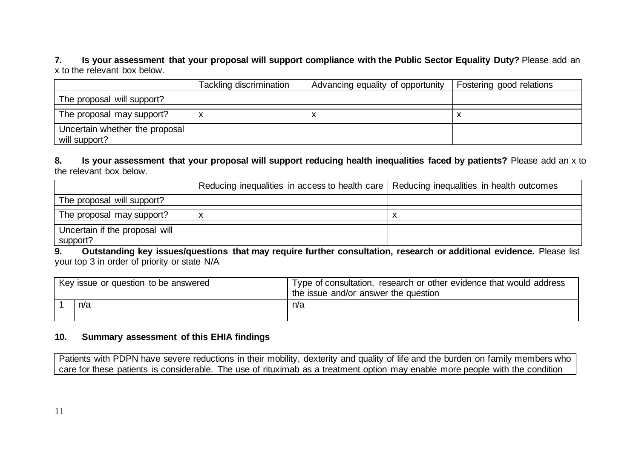**7. Is your assessment that your proposal will support compliance with the Public Sector Equality Duty?** Please add an x to the relevant box below.

|                                                 | Tackling discrimination | Advancing equality of opportunity | Fostering good relations |
|-------------------------------------------------|-------------------------|-----------------------------------|--------------------------|
| The proposal will support?                      |                         |                                   |                          |
| The proposal may support?                       |                         |                                   |                          |
| Uncertain whether the proposal<br>will support? |                         |                                   |                          |

**8. Is your assessment that your proposal will support reducing health inequalities faced by patients?** Please add an x to the relevant box below.

|                                            | Reducing inequalities in access to health care   Reducing inequalities in health outcomes |  |
|--------------------------------------------|-------------------------------------------------------------------------------------------|--|
| The proposal will support?                 |                                                                                           |  |
| The proposal may support?                  |                                                                                           |  |
| Uncertain if the proposal will<br>support? |                                                                                           |  |

**9. Outstanding key issues/questions that may require further consultation, research or additional evidence.** Please list your top 3 in order of priority or state N/A

|     | Key issue or question to be answered | Type of consultation, research or other evidence that would address<br>the issue and/or answer the question |
|-----|--------------------------------------|-------------------------------------------------------------------------------------------------------------|
| n/a |                                      | n/a                                                                                                         |

#### **10. Summary assessment of this EHIA findings**

Patients with PDPN have severe reductions in their mobility, dexterity and quality of life and the burden on family members who care for these patients is considerable. The use of rituximab as a treatment option may enable more people with the condition